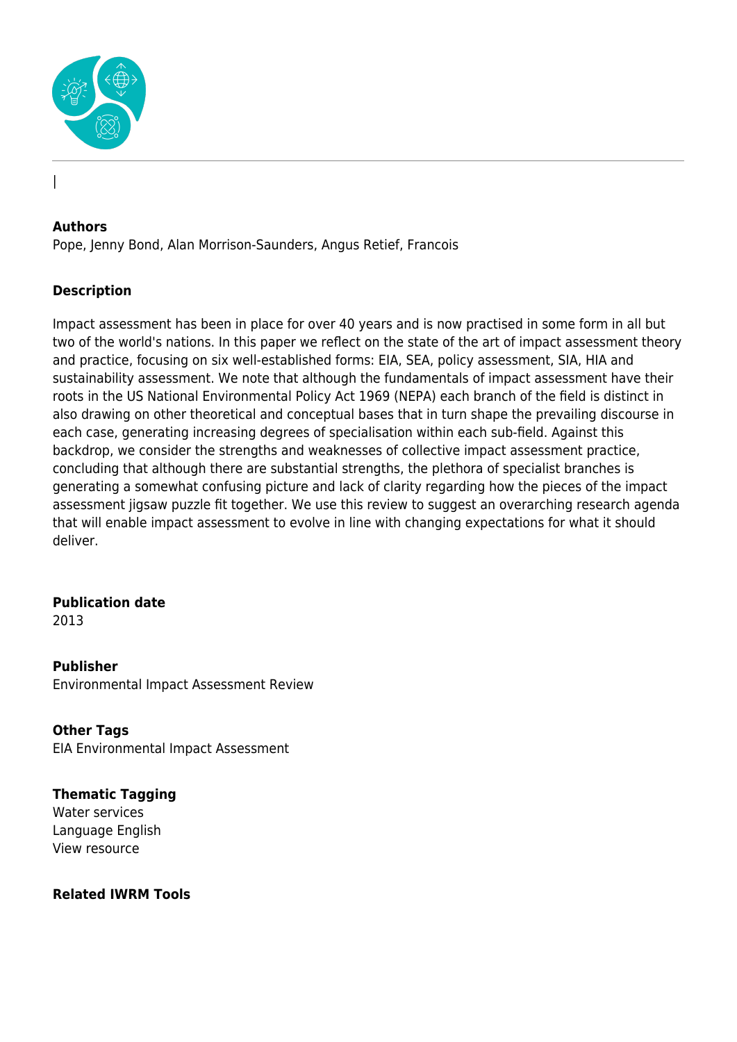

#### **Authors**

|

Pope, Jenny Bond, Alan Morrison-Saunders, Angus Retief, Francois

#### **Description**

Impact assessment has been in place for over 40 years and is now practised in some form in all but two of the world's nations. In this paper we reflect on the state of the art of impact assessment theory and practice, focusing on six well-established forms: EIA, SEA, policy assessment, SIA, HIA and sustainability assessment. We note that although the fundamentals of impact assessment have their roots in the US National Environmental Policy Act 1969 (NEPA) each branch of the field is distinct in also drawing on other theoretical and conceptual bases that in turn shape the prevailing discourse in each case, generating increasing degrees of specialisation within each sub-field. Against this backdrop, we consider the strengths and weaknesses of collective impact assessment practice, concluding that although there are substantial strengths, the plethora of specialist branches is generating a somewhat confusing picture and lack of clarity regarding how the pieces of the impact assessment jigsaw puzzle fit together. We use this review to suggest an overarching research agenda that will enable impact assessment to evolve in line with changing expectations for what it should deliver.

# **Publication date**

2013

**Publisher** Environmental Impact Assessment Review

**Other Tags** EIA Environmental Impact Assessment

**Thematic Tagging** Water services Language English View resource

#### **Related IWRM Tools**